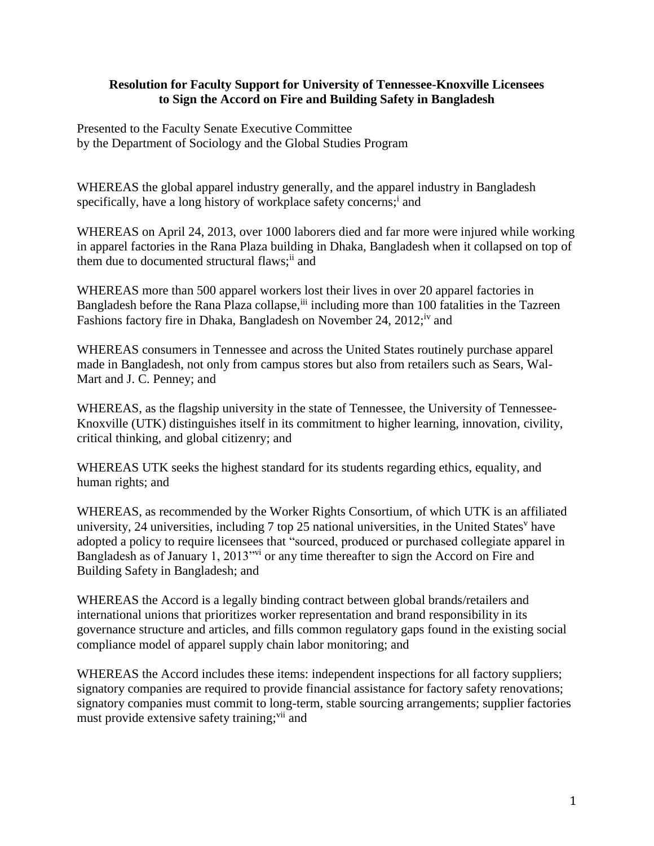## **Resolution for Faculty Support for University of Tennessee-Knoxville Licensees to Sign the Accord on Fire and Building Safety in Bangladesh**

Presented to the Faculty Senate Executive Committee by the Department of Sociology and the Global Studies Program

WHEREAS the global apparel industry generally, and the apparel industry in Bangladesh specifically, have a long history of workplace safety concerns;<sup>i</sup> and

WHEREAS on April 24, 2013, over 1000 laborers died and far more were injured while working in apparel factories in the Rana Plaza building in Dhaka, Bangladesh when it collapsed on top of them due to documented structural flaws;<sup>ii</sup> and

WHEREAS more than 500 apparel workers lost their lives in over 20 apparel factories in Bangladesh before the Rana Plaza collapse,<sup>iii</sup> including more than 100 fatalities in the Tazreen Fashions factory fire in Dhaka, Bangladesh on November 24, 2012;<sup>iv</sup> and

WHEREAS consumers in Tennessee and across the United States routinely purchase apparel made in Bangladesh, not only from campus stores but also from retailers such as Sears, Wal-Mart and J. C. Penney; and

WHEREAS, as the flagship university in the state of Tennessee, the University of Tennessee-Knoxville (UTK) distinguishes itself in its commitment to higher learning, innovation, civility, critical thinking, and global citizenry; and

WHEREAS UTK seeks the highest standard for its students regarding ethics, equality, and human rights; and

WHEREAS, as recommended by the Worker Rights Consortium, of which UTK is an affiliated university, 24 universities, including 7 top 25 national universities, in the United States<sup>v</sup> have adopted a policy to require licensees that "sourced, produced or purchased collegiate apparel in Bangladesh as of January 1, 2013<sup>"vi</sup> or any time thereafter to sign the Accord on Fire and Building Safety in Bangladesh; and

WHEREAS the Accord is a legally binding contract between global brands/retailers and international unions that prioritizes worker representation and brand responsibility in its governance structure and articles, and fills common regulatory gaps found in the existing social compliance model of apparel supply chain labor monitoring; and

WHEREAS the Accord includes these items: independent inspections for all factory suppliers; signatory companies are required to provide financial assistance for factory safety renovations; signatory companies must commit to long-term, stable sourcing arrangements; supplier factories must provide extensive safety training;<sup>vii</sup> and